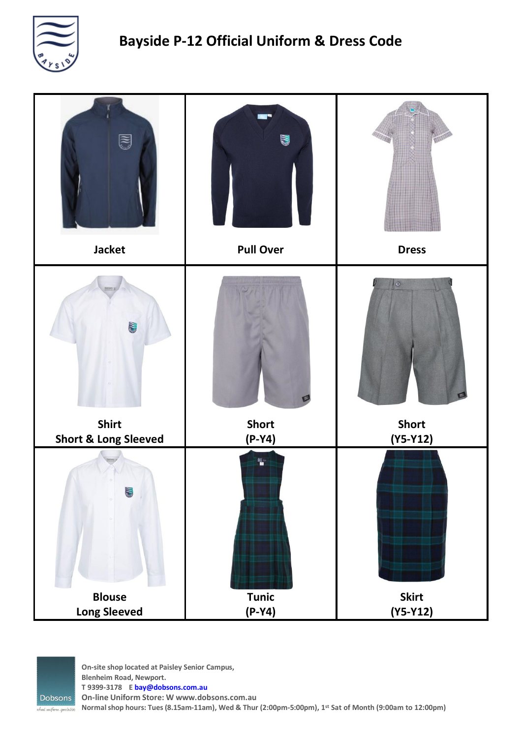



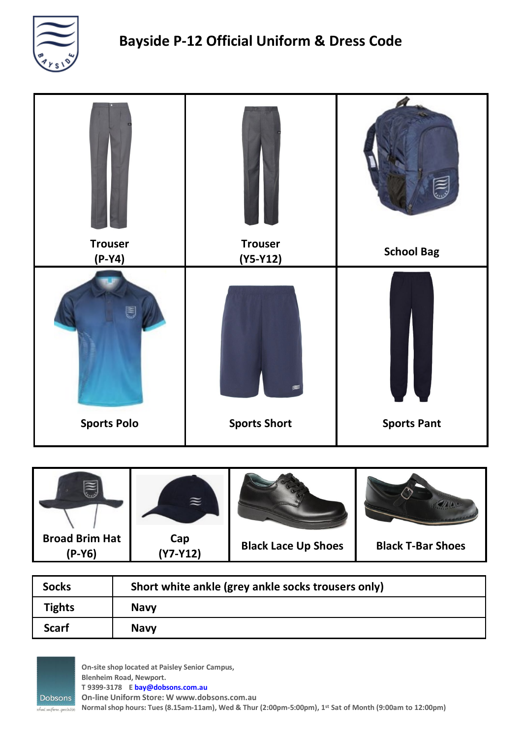





| <b>Socks</b>  | Short white ankle (grey ankle socks trousers only) |
|---------------|----------------------------------------------------|
| <b>Tights</b> | <b>Navy</b>                                        |
| <b>Scarf</b>  | <b>Navy</b>                                        |



**On-site shop located at Paisley Senior Campus, Blenheim Road, Newport. T 9399-3178 E [bay@dobsons.com.au](mailto:bay@dobsons.com.au) On-line Uniform Store: W [www.dobsons.com.au](http://www.dobsons.com.au/) Normalshop hours: Tues (8.15am-11am), Wed & Thur (2:00pm-5:00pm), 1st Sat of Month (9:00am to 12:00pm)**